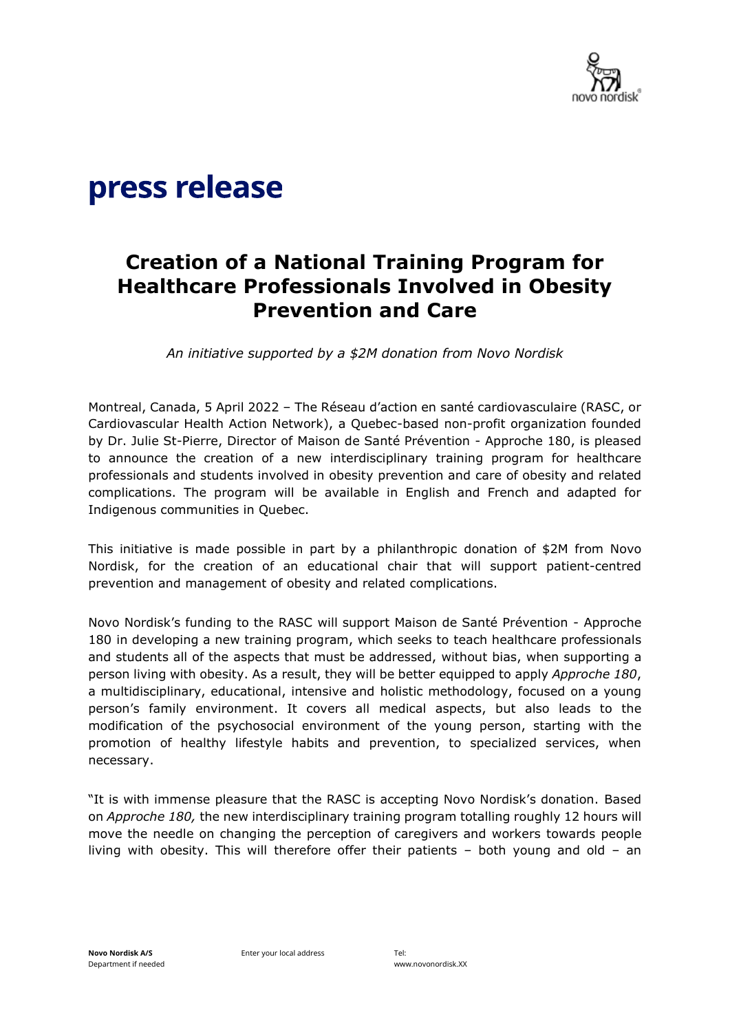

# press release

# **Creation of a National Training Program for Healthcare Professionals Involved in Obesity Prevention and Care**

*An initiative supported by a \$2M donation from Novo Nordisk*

Montreal, Canada, 5 April 2022 – The Réseau d'action en santé cardiovasculaire (RASC, or Cardiovascular Health Action Network), a Quebec-based non-profit organization founded by Dr. Julie St-Pierre, Director of Maison de Santé Prévention - Approche 180, is pleased to announce the creation of a new interdisciplinary training program for healthcare professionals and students involved in obesity prevention and care of obesity and related complications. The program will be available in English and French and adapted for Indigenous communities in Quebec.

This initiative is made possible in part by a philanthropic donation of \$2M from Novo Nordisk, for the creation of an educational chair that will support patient-centred prevention and management of obesity and related complications.

Novo Nordisk's funding to the RASC will support Maison de Santé Prévention - Approche 180 in developing a new training program, which seeks to teach healthcare professionals and students all of the aspects that must be addressed, without bias, when supporting a person living with obesity. As a result, they will be better equipped to apply *Approche 180*, a multidisciplinary, educational, intensive and holistic methodology, focused on a young person's family environment. It covers all medical aspects, but also leads to the modification of the psychosocial environment of the young person, starting with the promotion of healthy lifestyle habits and prevention, to specialized services, when necessary.

"It is with immense pleasure that the RASC is accepting Novo Nordisk's donation. Based on *Approche 180,* the new interdisciplinary training program totalling roughly 12 hours will move the needle on changing the perception of caregivers and workers towards people living with obesity. This will therefore offer their patients – both young and old – an

Enter your local address Tel: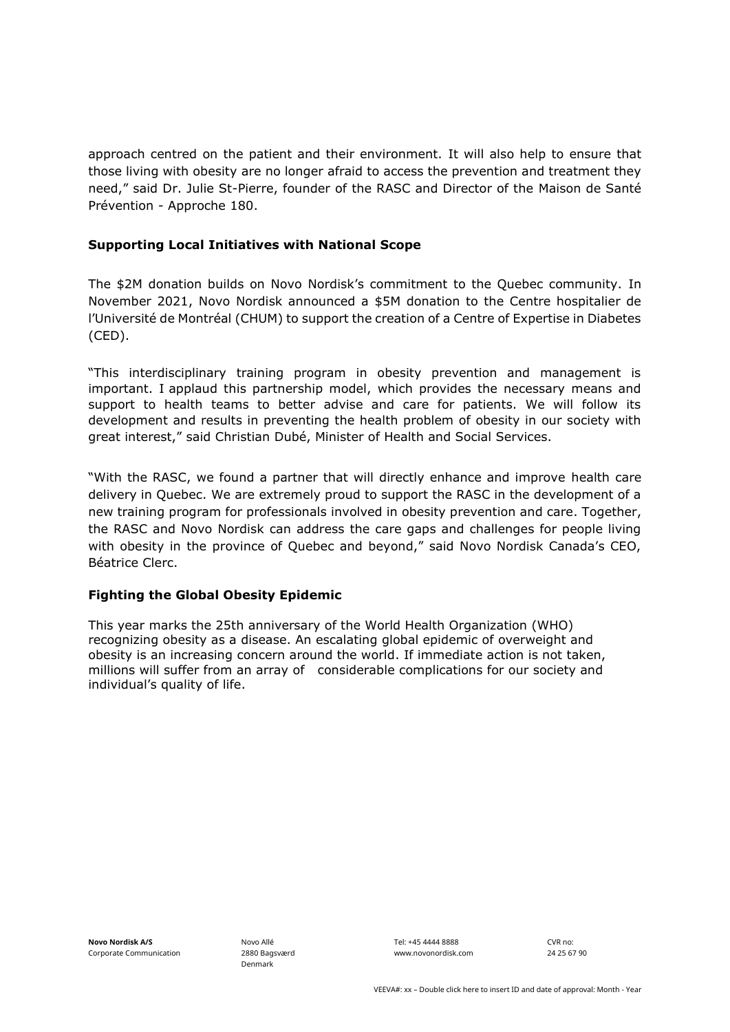approach centred on the patient and their environment. It will also help to ensure that those living with obesity are no longer afraid to access the prevention and treatment they need," said Dr. Julie St-Pierre, founder of the RASC and Director of the Maison de Santé Prévention - Approche 180.

### **Supporting Local Initiatives with National Scope**

The \$2M donation builds on Novo Nordisk's commitment to the Quebec community. In November 2021, Novo Nordisk announced a \$5M donation to the Centre hospitalier de l'Université de Montréal (CHUM) to support the creation of a Centre of Expertise in Diabetes (CED).

"This interdisciplinary training program in obesity prevention and management is important. I applaud this partnership model, which provides the necessary means and support to health teams to better advise and care for patients. We will follow its development and results in preventing the health problem of obesity in our society with great interest," said Christian Dubé, Minister of Health and Social Services.

"With the RASC, we found a partner that will directly enhance and improve health care delivery in Quebec. We are extremely proud to support the RASC in the development of a new training program for professionals involved in obesity prevention and care. Together, the RASC and Novo Nordisk can address the care gaps and challenges for people living with obesity in the province of Quebec and beyond," said Novo Nordisk Canada's CEO, Béatrice Clerc.

## **Fighting the Global Obesity Epidemic**

This year marks the 25th anniversary of the World Health Organization (WHO) recognizing obesity as a disease. An escalating global epidemic of overweight and obesity is an increasing concern around the world. If immediate action is not taken, millions will suffer from an array of considerable complications for our society and individual's quality of life.

Novo Allé 2880 Bagsværd Denmark

Tel: +45 4444 8888 www.novonordisk.com CVR no: 24 25 67 90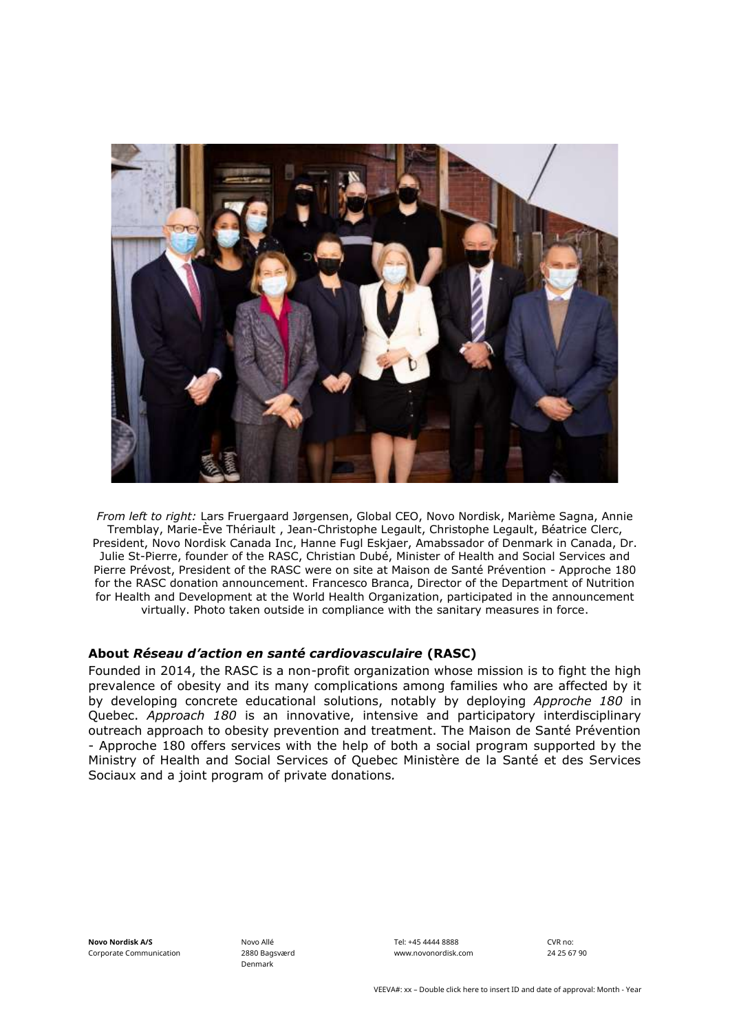

*From left to right:* Lars Fruergaard Jørgensen, Global CEO, Novo Nordisk, Marième Sagna, Annie Tremblay, Marie-Ève Thériault , Jean-Christophe Legault, Christophe Legault, Béatrice Clerc, President, Novo Nordisk Canada Inc, Hanne Fugl Eskjaer, Amabssador of Denmark in Canada, Dr. Julie St-Pierre, founder of the RASC, Christian Dubé, Minister of Health and Social Services and Pierre Prévost, President of the RASC were on site at Maison de Santé Prévention - Approche 180 for the RASC donation announcement. Francesco Branca, Director of the Department of Nutrition for Health and Development at the World Health Organization, participated in the announcement virtually. Photo taken outside in compliance with the sanitary measures in force.

#### **About** *Réseau d'action en santé cardiovasculaire* **(RASC)**

Founded in 2014, the RASC is a non-profit organization whose mission is to fight the high prevalence of obesity and its many complications among families who are affected by it by developing concrete educational solutions, notably by deploying *Approche 180* in Quebec. *Approach 180* is an innovative, intensive and participatory interdisciplinary outreach approach to obesity prevention and treatment. The Maison de Santé Prévention - Approche 180 offers services with the help of both a social program supported by the Ministry of Health and Social Services of Quebec Ministère de la Santé et des Services Sociaux and a joint program of private donations*.* 

**Novo Nordisk A/S** Corporate Communication Novo Allé 2880 Bagsværd Denmark

Tel: +45 4444 8888 www.novonordisk.com CVR no: 24 25 67 90